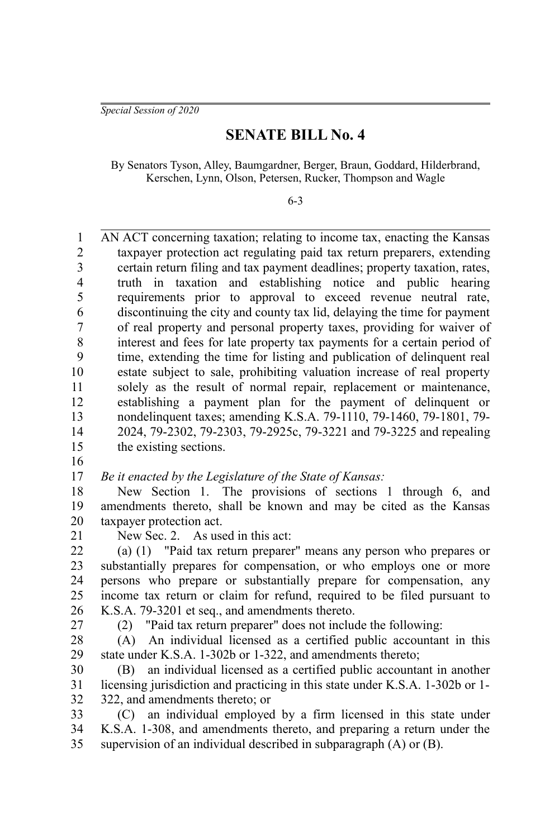*Special Session of 2020*

## **SENATE BILL No. 4**

By Senators Tyson, Alley, Baumgardner, Berger, Braun, Goddard, Hilderbrand, Kerschen, Lynn, Olson, Petersen, Rucker, Thompson and Wagle

6-3

AN ACT concerning taxation; relating to income tax, enacting the Kansas taxpayer protection act regulating paid tax return preparers, extending certain return filing and tax payment deadlines; property taxation, rates, truth in taxation and establishing notice and public hearing requirements prior to approval to exceed revenue neutral rate, discontinuing the city and county tax lid, delaying the time for payment of real property and personal property taxes, providing for waiver of interest and fees for late property tax payments for a certain period of time, extending the time for listing and publication of delinquent real estate subject to sale, prohibiting valuation increase of real property solely as the result of normal repair, replacement or maintenance, establishing a payment plan for the payment of delinquent or nondelinquent taxes; amending K.S.A. 79-1110, 79-1460, 79-1801, 79- 2024, 79-2302, 79-2303, 79-2925c, 79-3221 and 79-3225 and repealing the existing sections. 1 2 3 4 5 6 7 8 9 10 11 12 13 14 15

16

*Be it enacted by the Legislature of the State of Kansas:* 17

New Section 1. The provisions of sections 1 through 6, and amendments thereto, shall be known and may be cited as the Kansas taxpayer protection act. 18 19 20

21

New Sec. 2. As used in this act:

(a) (1) "Paid tax return preparer" means any person who prepares or substantially prepares for compensation, or who employs one or more persons who prepare or substantially prepare for compensation, any income tax return or claim for refund, required to be filed pursuant to K.S.A. 79-3201 et seq., and amendments thereto. 22 23 24 25 26

27

(2) "Paid tax return preparer" does not include the following:

(A) An individual licensed as a certified public accountant in this state under K.S.A. 1-302b or 1-322, and amendments thereto; 28 29

(B) an individual licensed as a certified public accountant in another licensing jurisdiction and practicing in this state under K.S.A. 1-302b or 1- 322, and amendments thereto; or 30 31 32

(C) an individual employed by a firm licensed in this state under K.S.A. 1-308, and amendments thereto, and preparing a return under the supervision of an individual described in subparagraph (A) or (B). 33 34 35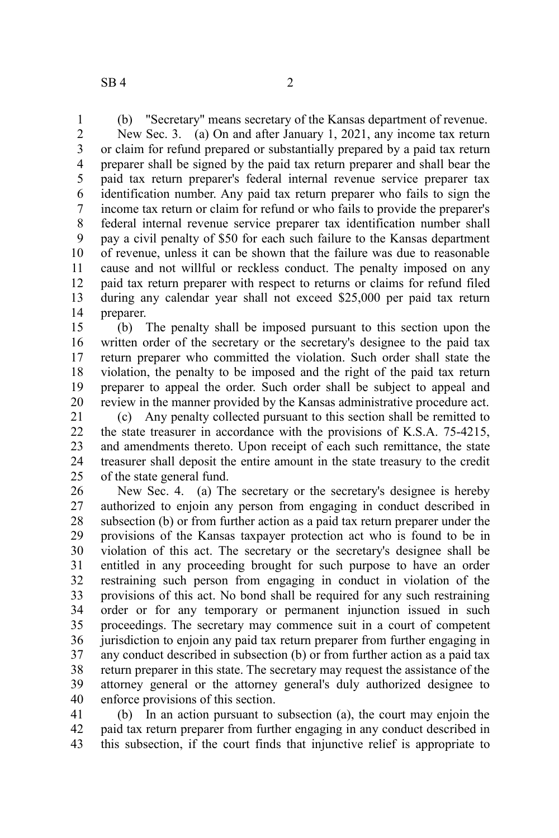1

(b) "Secretary" means secretary of the Kansas department of revenue.

New Sec. 3. (a) On and after January 1, 2021, any income tax return or claim for refund prepared or substantially prepared by a paid tax return preparer shall be signed by the paid tax return preparer and shall bear the paid tax return preparer's federal internal revenue service preparer tax identification number. Any paid tax return preparer who fails to sign the income tax return or claim for refund or who fails to provide the preparer's federal internal revenue service preparer tax identification number shall pay a civil penalty of \$50 for each such failure to the Kansas department of revenue, unless it can be shown that the failure was due to reasonable cause and not willful or reckless conduct. The penalty imposed on any paid tax return preparer with respect to returns or claims for refund filed during any calendar year shall not exceed \$25,000 per paid tax return preparer. 2 3 4 5 6 7 8 9 10 11 12 13 14

(b) The penalty shall be imposed pursuant to this section upon the written order of the secretary or the secretary's designee to the paid tax return preparer who committed the violation. Such order shall state the violation, the penalty to be imposed and the right of the paid tax return preparer to appeal the order. Such order shall be subject to appeal and review in the manner provided by the Kansas administrative procedure act. 15 16 17 18 19 20

(c) Any penalty collected pursuant to this section shall be remitted to the state treasurer in accordance with the provisions of K.S.A. 75-4215, and amendments thereto. Upon receipt of each such remittance, the state treasurer shall deposit the entire amount in the state treasury to the credit of the state general fund. 21 22 23 24 25

New Sec. 4. (a) The secretary or the secretary's designee is hereby authorized to enjoin any person from engaging in conduct described in subsection (b) or from further action as a paid tax return preparer under the provisions of the Kansas taxpayer protection act who is found to be in violation of this act. The secretary or the secretary's designee shall be entitled in any proceeding brought for such purpose to have an order restraining such person from engaging in conduct in violation of the provisions of this act. No bond shall be required for any such restraining order or for any temporary or permanent injunction issued in such proceedings. The secretary may commence suit in a court of competent jurisdiction to enjoin any paid tax return preparer from further engaging in any conduct described in subsection (b) or from further action as a paid tax return preparer in this state. The secretary may request the assistance of the attorney general or the attorney general's duly authorized designee to enforce provisions of this section. 26 27 28 29 30 31 32 33 34 35 36 37 38 39 40

(b) In an action pursuant to subsection (a), the court may enjoin the paid tax return preparer from further engaging in any conduct described in this subsection, if the court finds that injunctive relief is appropriate to 41 42 43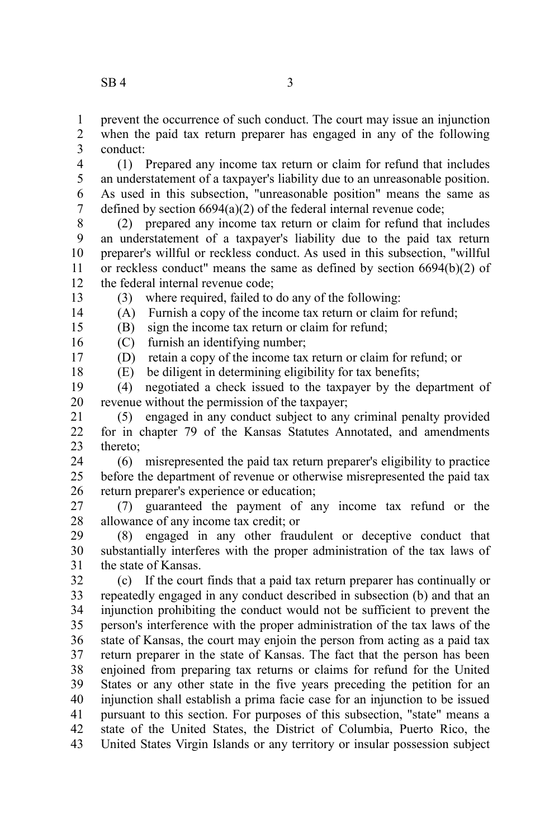prevent the occurrence of such conduct. The court may issue an injunction when the paid tax return preparer has engaged in any of the following conduct: 1 2 3

(1) Prepared any income tax return or claim for refund that includes an understatement of a taxpayer's liability due to an unreasonable position. As used in this subsection, "unreasonable position" means the same as defined by section 6694(a)(2) of the federal internal revenue code; 4 5 6 7

(2) prepared any income tax return or claim for refund that includes an understatement of a taxpayer's liability due to the paid tax return preparer's willful or reckless conduct. As used in this subsection, "willful or reckless conduct" means the same as defined by section 6694(b)(2) of the federal internal revenue code; 8 9 10 11 12

(3) where required, failed to do any of the following:

13 14 15

18

(A) Furnish a copy of the income tax return or claim for refund;

(B) sign the income tax return or claim for refund;

(C) furnish an identifying number; 16

(D) retain a copy of the income tax return or claim for refund; or 17

(E) be diligent in determining eligibility for tax benefits;

(4) negotiated a check issued to the taxpayer by the department of revenue without the permission of the taxpayer; 19 20

(5) engaged in any conduct subject to any criminal penalty provided for in chapter 79 of the Kansas Statutes Annotated, and amendments thereto; 21  $22$ 23

(6) misrepresented the paid tax return preparer's eligibility to practice before the department of revenue or otherwise misrepresented the paid tax return preparer's experience or education; 24 25 26

(7) guaranteed the payment of any income tax refund or the allowance of any income tax credit; or 27 28

(8) engaged in any other fraudulent or deceptive conduct that substantially interferes with the proper administration of the tax laws of the state of Kansas. 29 30 31

(c) If the court finds that a paid tax return preparer has continually or repeatedly engaged in any conduct described in subsection (b) and that an injunction prohibiting the conduct would not be sufficient to prevent the person's interference with the proper administration of the tax laws of the state of Kansas, the court may enjoin the person from acting as a paid tax return preparer in the state of Kansas. The fact that the person has been enjoined from preparing tax returns or claims for refund for the United States or any other state in the five years preceding the petition for an injunction shall establish a prima facie case for an injunction to be issued pursuant to this section. For purposes of this subsection, "state" means a state of the United States, the District of Columbia, Puerto Rico, the United States Virgin Islands or any territory or insular possession subject 32 33 34 35 36 37 38 39 40 41 42 43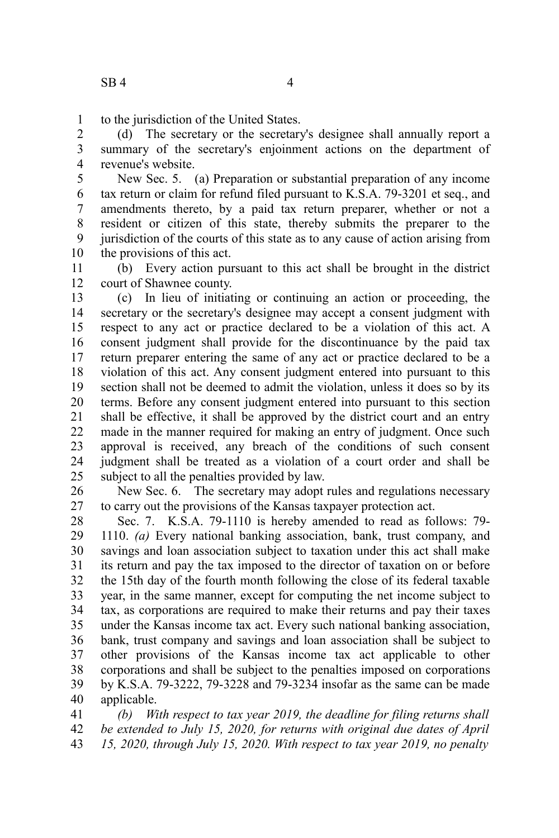to the jurisdiction of the United States. 1

(d) The secretary or the secretary's designee shall annually report a summary of the secretary's enjoinment actions on the department of revenue's website. 2 3 4

New Sec. 5. (a) Preparation or substantial preparation of any income tax return or claim for refund filed pursuant to K.S.A. 79-3201 et seq., and amendments thereto, by a paid tax return preparer, whether or not a resident or citizen of this state, thereby submits the preparer to the jurisdiction of the courts of this state as to any cause of action arising from the provisions of this act. 5 6 7 8 9 10

(b) Every action pursuant to this act shall be brought in the district court of Shawnee county. 11 12

(c) In lieu of initiating or continuing an action or proceeding, the secretary or the secretary's designee may accept a consent judgment with respect to any act or practice declared to be a violation of this act. A consent judgment shall provide for the discontinuance by the paid tax return preparer entering the same of any act or practice declared to be a violation of this act. Any consent judgment entered into pursuant to this section shall not be deemed to admit the violation, unless it does so by its terms. Before any consent judgment entered into pursuant to this section shall be effective, it shall be approved by the district court and an entry made in the manner required for making an entry of judgment. Once such approval is received, any breach of the conditions of such consent judgment shall be treated as a violation of a court order and shall be subject to all the penalties provided by law. 13 14 15 16 17 18 19 20 21 22 23 24 25

New Sec. 6. The secretary may adopt rules and regulations necessary to carry out the provisions of the Kansas taxpayer protection act. 26 27

Sec. 7. K.S.A. 79-1110 is hereby amended to read as follows: 79- 1110. *(a)* Every national banking association, bank, trust company, and savings and loan association subject to taxation under this act shall make its return and pay the tax imposed to the director of taxation on or before the 15th day of the fourth month following the close of its federal taxable year, in the same manner, except for computing the net income subject to tax, as corporations are required to make their returns and pay their taxes under the Kansas income tax act. Every such national banking association, bank, trust company and savings and loan association shall be subject to other provisions of the Kansas income tax act applicable to other corporations and shall be subject to the penalties imposed on corporations by K.S.A. 79-3222, 79-3228 and 79-3234 insofar as the same can be made applicable. 28 29 30 31 32 33 34 35 36 37 38 39 40

*(b) With respect to tax year 2019, the deadline for filing returns shall be extended to July 15, 2020, for returns with original due dates of April 15, 2020, through July 15, 2020. With respect to tax year 2019, no penalty* 41 42 43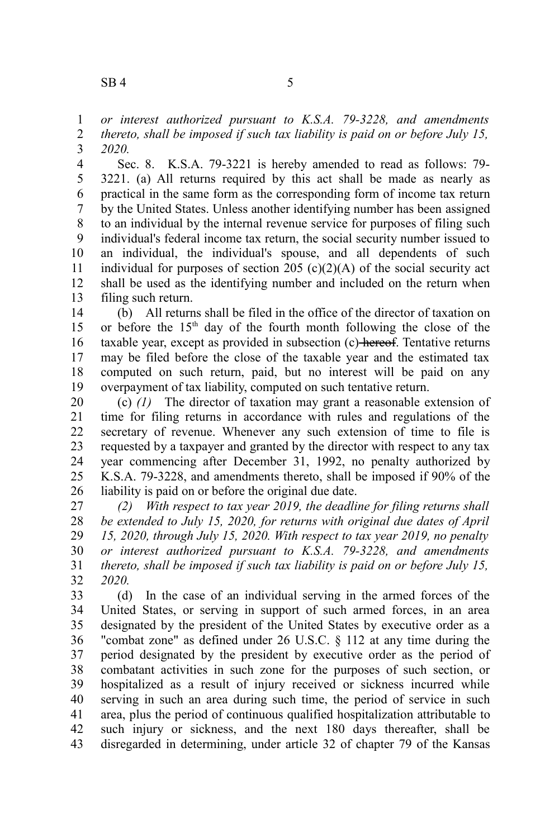*or interest authorized pursuant to K.S.A. 79-3228, and amendments thereto, shall be imposed if such tax liability is paid on or before July 15,* 1 2

*2020.* 3

Sec. 8. K.S.A. 79-3221 is hereby amended to read as follows: 79- 3221. (a) All returns required by this act shall be made as nearly as practical in the same form as the corresponding form of income tax return by the United States. Unless another identifying number has been assigned to an individual by the internal revenue service for purposes of filing such individual's federal income tax return, the social security number issued to an individual, the individual's spouse, and all dependents of such individual for purposes of section 205  $(c)(2)(A)$  of the social security act shall be used as the identifying number and included on the return when filing such return. 4 5 6 7 8 9 10 11 12 13

(b) All returns shall be filed in the office of the director of taxation on or before the  $15<sup>th</sup>$  day of the fourth month following the close of the taxable year, except as provided in subsection (c) hereof. Tentative returns may be filed before the close of the taxable year and the estimated tax computed on such return, paid, but no interest will be paid on any overpayment of tax liability, computed on such tentative return. 14 15 16 17 18 19

(c) *(1)* The director of taxation may grant a reasonable extension of time for filing returns in accordance with rules and regulations of the secretary of revenue. Whenever any such extension of time to file is requested by a taxpayer and granted by the director with respect to any tax year commencing after December 31, 1992, no penalty authorized by K.S.A. 79-3228, and amendments thereto, shall be imposed if 90% of the liability is paid on or before the original due date. 20 21 22 23 24 25 26

*(2) With respect to tax year 2019, the deadline for filing returns shall be extended to July 15, 2020, for returns with original due dates of April 15, 2020, through July 15, 2020. With respect to tax year 2019, no penalty or interest authorized pursuant to K.S.A. 79-3228, and amendments thereto, shall be imposed if such tax liability is paid on or before July 15, 2020.* 27 28 29 30 31 32

(d) In the case of an individual serving in the armed forces of the United States, or serving in support of such armed forces, in an area designated by the president of the United States by executive order as a "combat zone" as defined under 26 U.S.C. § 112 at any time during the period designated by the president by executive order as the period of combatant activities in such zone for the purposes of such section, or hospitalized as a result of injury received or sickness incurred while serving in such an area during such time, the period of service in such area, plus the period of continuous qualified hospitalization attributable to such injury or sickness, and the next 180 days thereafter, shall be disregarded in determining, under article 32 of chapter 79 of the Kansas 33 34 35 36 37 38 39 40 41 42 43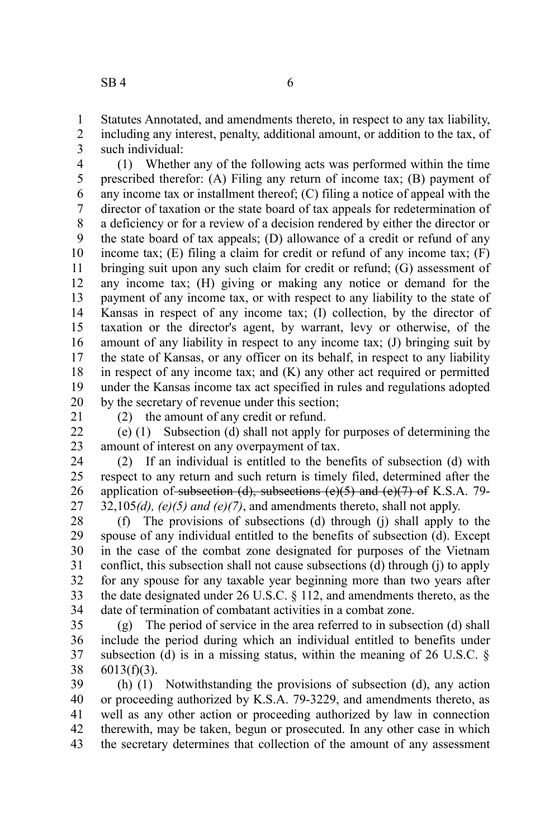Statutes Annotated, and amendments thereto, in respect to any tax liability, including any interest, penalty, additional amount, or addition to the tax, of such individual: 1 2 3

(1) Whether any of the following acts was performed within the time prescribed therefor: (A) Filing any return of income tax; (B) payment of any income tax or installment thereof; (C) filing a notice of appeal with the director of taxation or the state board of tax appeals for redetermination of a deficiency or for a review of a decision rendered by either the director or the state board of tax appeals; (D) allowance of a credit or refund of any income tax;  $(E)$  filing a claim for credit or refund of any income tax;  $(F)$ bringing suit upon any such claim for credit or refund; (G) assessment of any income tax; (H) giving or making any notice or demand for the payment of any income tax, or with respect to any liability to the state of Kansas in respect of any income tax; (I) collection, by the director of taxation or the director's agent, by warrant, levy or otherwise, of the amount of any liability in respect to any income tax; (J) bringing suit by the state of Kansas, or any officer on its behalf, in respect to any liability in respect of any income tax; and (K) any other act required or permitted under the Kansas income tax act specified in rules and regulations adopted by the secretary of revenue under this section; 4 5 6 7 8 9 10 11 12 13 14 15 16 17 18 19 20

21

(e) (1) Subsection (d) shall not apply for purposes of determining the amount of interest on any overpayment of tax. 22 23

(2) the amount of any credit or refund.

(2) If an individual is entitled to the benefits of subsection (d) with respect to any return and such return is timely filed, determined after the application of subsection (d), subsections  $(e)(5)$  and  $(e)(7)$  of K.S.A. 79- $32,105(d)$ ,  $(e)(5)$  and  $(e)(7)$ , and amendments thereto, shall not apply. 24 25 26 27

(f) The provisions of subsections (d) through (j) shall apply to the spouse of any individual entitled to the benefits of subsection (d). Except in the case of the combat zone designated for purposes of the Vietnam conflict, this subsection shall not cause subsections (d) through (j) to apply for any spouse for any taxable year beginning more than two years after the date designated under 26 U.S.C. § 112, and amendments thereto, as the date of termination of combatant activities in a combat zone. 28 29 30 31 32 33 34

(g) The period of service in the area referred to in subsection (d) shall include the period during which an individual entitled to benefits under subsection (d) is in a missing status, within the meaning of  $26 \text{ U.S.C. }$ §  $6013(f)(3)$ . 35 36 37 38

(h) (1) Notwithstanding the provisions of subsection (d), any action or proceeding authorized by K.S.A. 79-3229, and amendments thereto, as well as any other action or proceeding authorized by law in connection therewith, may be taken, begun or prosecuted. In any other case in which the secretary determines that collection of the amount of any assessment 39 40 41 42 43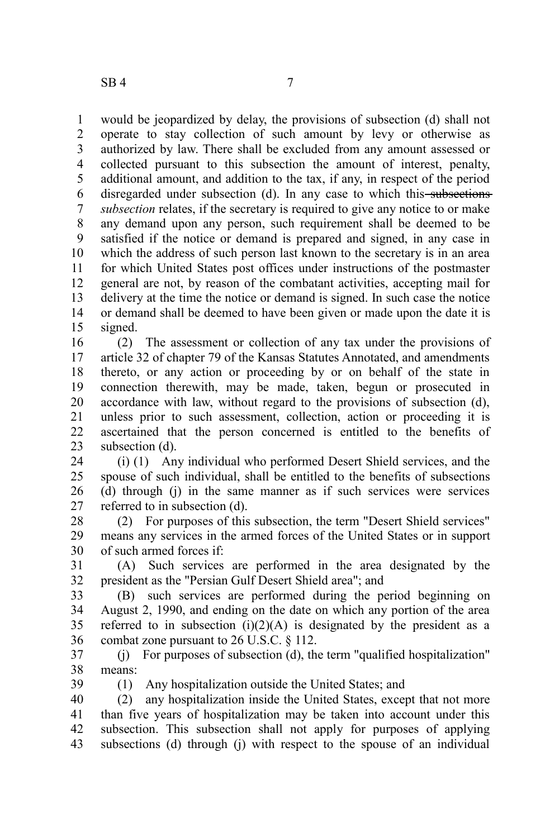would be jeopardized by delay, the provisions of subsection (d) shall not operate to stay collection of such amount by levy or otherwise as authorized by law. There shall be excluded from any amount assessed or collected pursuant to this subsection the amount of interest, penalty, additional amount, and addition to the tax, if any, in respect of the period disregarded under subsection (d). In any case to which this subsections *subsection* relates, if the secretary is required to give any notice to or make any demand upon any person, such requirement shall be deemed to be satisfied if the notice or demand is prepared and signed, in any case in which the address of such person last known to the secretary is in an area for which United States post offices under instructions of the postmaster general are not, by reason of the combatant activities, accepting mail for delivery at the time the notice or demand is signed. In such case the notice or demand shall be deemed to have been given or made upon the date it is signed. 1 2 3 4 5 6 7 8 9 10 11 12 13 14 15

(2) The assessment or collection of any tax under the provisions of article 32 of chapter 79 of the Kansas Statutes Annotated, and amendments thereto, or any action or proceeding by or on behalf of the state in connection therewith, may be made, taken, begun or prosecuted in accordance with law, without regard to the provisions of subsection (d), unless prior to such assessment, collection, action or proceeding it is ascertained that the person concerned is entitled to the benefits of subsection (d). 16 17 18 19 20 21 22 23

(i) (1) Any individual who performed Desert Shield services, and the spouse of such individual, shall be entitled to the benefits of subsections (d) through (j) in the same manner as if such services were services referred to in subsection (d). 24 25 26 27

(2) For purposes of this subsection, the term "Desert Shield services" means any services in the armed forces of the United States or in support of such armed forces if: 28 29 30

(A) Such services are performed in the area designated by the president as the "Persian Gulf Desert Shield area"; and 31 32

(B) such services are performed during the period beginning on August 2, 1990, and ending on the date on which any portion of the area referred to in subsection  $(i)(2)(A)$  is designated by the president as a combat zone pursuant to 26 U.S.C. § 112. 33 34 35 36

(j) For purposes of subsection (d), the term "qualified hospitalization" means: 37 38

39

(1) Any hospitalization outside the United States; and

(2) any hospitalization inside the United States, except that not more than five years of hospitalization may be taken into account under this subsection. This subsection shall not apply for purposes of applying subsections (d) through (j) with respect to the spouse of an individual 40 41 42 43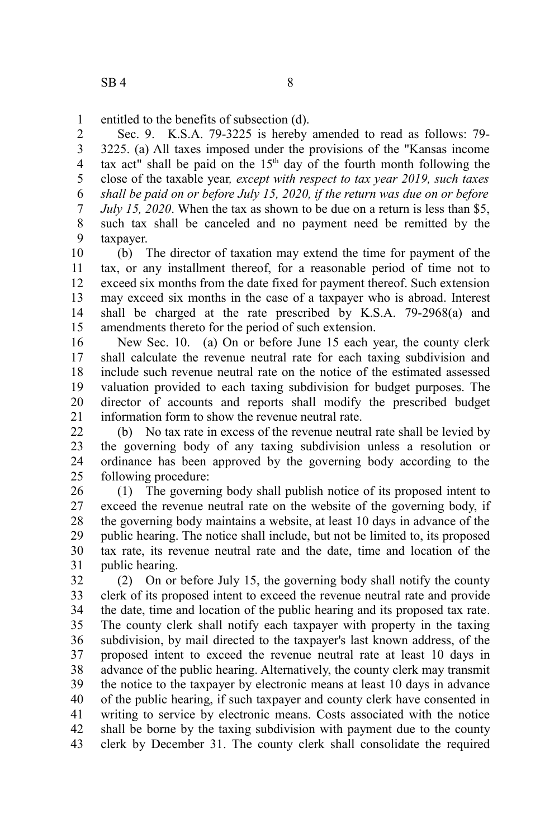entitled to the benefits of subsection (d). 1

Sec. 9. K.S.A. 79-3225 is hereby amended to read as follows: 79- 3225. (a) All taxes imposed under the provisions of the "Kansas income tax act" shall be paid on the  $15<sup>th</sup>$  day of the fourth month following the close of the taxable year*, except with respect to tax year 2019, such taxes shall be paid on or before July 15, 2020, if the return was due on or before July 15, 2020*. When the tax as shown to be due on a return is less than \$5, such tax shall be canceled and no payment need be remitted by the taxpayer. 2 3 4 5 6 7 8 9

(b) The director of taxation may extend the time for payment of the tax, or any installment thereof, for a reasonable period of time not to exceed six months from the date fixed for payment thereof. Such extension may exceed six months in the case of a taxpayer who is abroad. Interest shall be charged at the rate prescribed by K.S.A. 79-2968(a) and amendments thereto for the period of such extension. 10 11 12 13 14 15

New Sec. 10. (a) On or before June 15 each year, the county clerk shall calculate the revenue neutral rate for each taxing subdivision and include such revenue neutral rate on the notice of the estimated assessed valuation provided to each taxing subdivision for budget purposes. The director of accounts and reports shall modify the prescribed budget information form to show the revenue neutral rate. 16 17 18 19 20 21

(b) No tax rate in excess of the revenue neutral rate shall be levied by the governing body of any taxing subdivision unless a resolution or ordinance has been approved by the governing body according to the following procedure:  $22$ 23 24 25

(1) The governing body shall publish notice of its proposed intent to exceed the revenue neutral rate on the website of the governing body, if the governing body maintains a website, at least 10 days in advance of the public hearing. The notice shall include, but not be limited to, its proposed tax rate, its revenue neutral rate and the date, time and location of the public hearing. 26 27 28 29 30 31

(2) On or before July 15, the governing body shall notify the county clerk of its proposed intent to exceed the revenue neutral rate and provide the date, time and location of the public hearing and its proposed tax rate. The county clerk shall notify each taxpayer with property in the taxing subdivision, by mail directed to the taxpayer's last known address, of the proposed intent to exceed the revenue neutral rate at least 10 days in advance of the public hearing. Alternatively, the county clerk may transmit the notice to the taxpayer by electronic means at least 10 days in advance of the public hearing, if such taxpayer and county clerk have consented in writing to service by electronic means. Costs associated with the notice shall be borne by the taxing subdivision with payment due to the county clerk by December 31. The county clerk shall consolidate the required 32 33 34 35 36 37 38 39 40 41 42 43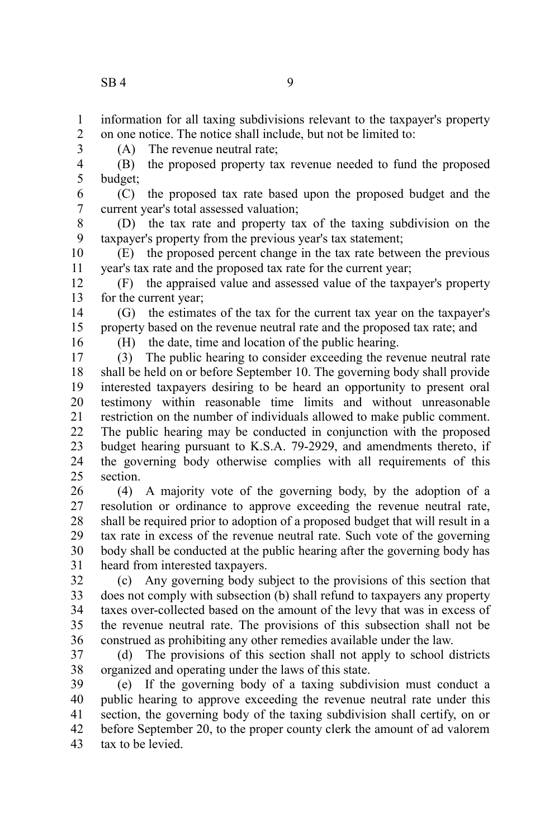information for all taxing subdivisions relevant to the taxpayer's property on one notice. The notice shall include, but not be limited to: 1 2

3

(A) The revenue neutral rate;

(B) the proposed property tax revenue needed to fund the proposed budget; 4 5

(C) the proposed tax rate based upon the proposed budget and the current year's total assessed valuation; 6 7

(D) the tax rate and property tax of the taxing subdivision on the taxpayer's property from the previous year's tax statement; 8 9

(E) the proposed percent change in the tax rate between the previous year's tax rate and the proposed tax rate for the current year; 10 11

(F) the appraised value and assessed value of the taxpayer's property for the current year; 12 13

(G) the estimates of the tax for the current tax year on the taxpayer's property based on the revenue neutral rate and the proposed tax rate; and 14 15

16

(H) the date, time and location of the public hearing.

(3) The public hearing to consider exceeding the revenue neutral rate shall be held on or before September 10. The governing body shall provide interested taxpayers desiring to be heard an opportunity to present oral testimony within reasonable time limits and without unreasonable restriction on the number of individuals allowed to make public comment. The public hearing may be conducted in conjunction with the proposed budget hearing pursuant to K.S.A. 79-2929, and amendments thereto, if the governing body otherwise complies with all requirements of this section. 17 18 19 20 21 22 23 24 25

(4) A majority vote of the governing body, by the adoption of a resolution or ordinance to approve exceeding the revenue neutral rate, shall be required prior to adoption of a proposed budget that will result in a tax rate in excess of the revenue neutral rate. Such vote of the governing body shall be conducted at the public hearing after the governing body has heard from interested taxpayers. 26 27 28 29 30 31

(c) Any governing body subject to the provisions of this section that does not comply with subsection (b) shall refund to taxpayers any property taxes over-collected based on the amount of the levy that was in excess of the revenue neutral rate. The provisions of this subsection shall not be construed as prohibiting any other remedies available under the law. 32 33 34 35 36

(d) The provisions of this section shall not apply to school districts organized and operating under the laws of this state. 37 38

(e) If the governing body of a taxing subdivision must conduct a public hearing to approve exceeding the revenue neutral rate under this section, the governing body of the taxing subdivision shall certify, on or before September 20, to the proper county clerk the amount of ad valorem tax to be levied. 39 40 41 42 43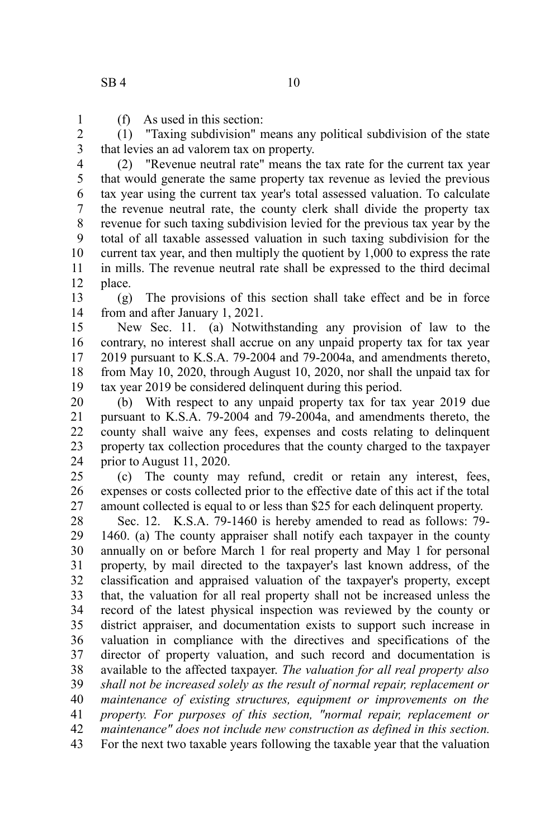(f) As used in this section: 1

(1) "Taxing subdivision" means any political subdivision of the state that levies an ad valorem tax on property. 2 3

(2) "Revenue neutral rate" means the tax rate for the current tax year that would generate the same property tax revenue as levied the previous tax year using the current tax year's total assessed valuation. To calculate the revenue neutral rate, the county clerk shall divide the property tax revenue for such taxing subdivision levied for the previous tax year by the total of all taxable assessed valuation in such taxing subdivision for the current tax year, and then multiply the quotient by 1,000 to express the rate in mills. The revenue neutral rate shall be expressed to the third decimal place. 4 5 6 7 8 9 10 11 12

(g) The provisions of this section shall take effect and be in force from and after January 1, 2021. 13 14

New Sec. 11. (a) Notwithstanding any provision of law to the contrary, no interest shall accrue on any unpaid property tax for tax year 2019 pursuant to K.S.A. 79-2004 and 79-2004a, and amendments thereto, from May 10, 2020, through August 10, 2020, nor shall the unpaid tax for tax year 2019 be considered delinquent during this period. 15 16 17 18 19

(b) With respect to any unpaid property tax for tax year 2019 due pursuant to K.S.A. 79-2004 and 79-2004a, and amendments thereto, the county shall waive any fees, expenses and costs relating to delinquent property tax collection procedures that the county charged to the taxpayer prior to August 11, 2020. 20 21 22 23 24

(c) The county may refund, credit or retain any interest, fees, expenses or costs collected prior to the effective date of this act if the total amount collected is equal to or less than \$25 for each delinquent property. 25 26 27

Sec. 12. K.S.A. 79-1460 is hereby amended to read as follows: 79- 1460. (a) The county appraiser shall notify each taxpayer in the county annually on or before March 1 for real property and May 1 for personal property, by mail directed to the taxpayer's last known address, of the classification and appraised valuation of the taxpayer's property, except that, the valuation for all real property shall not be increased unless the record of the latest physical inspection was reviewed by the county or district appraiser, and documentation exists to support such increase in valuation in compliance with the directives and specifications of the director of property valuation, and such record and documentation is available to the affected taxpayer. *The valuation for all real property also shall not be increased solely as the result of normal repair, replacement or maintenance of existing structures, equipment or improvements on the property. For purposes of this section, "normal repair, replacement or maintenance" does not include new construction as defined in this section.* For the next two taxable years following the taxable year that the valuation 28 29 30 31 32 33 34 35 36 37 38 39 40 41 42 43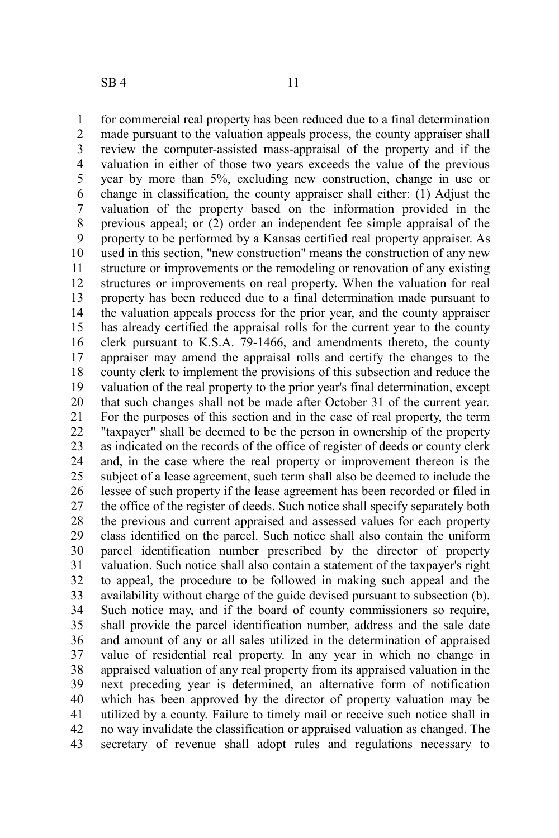$SB4$  11

for commercial real property has been reduced due to a final determination made pursuant to the valuation appeals process, the county appraiser shall review the computer-assisted mass-appraisal of the property and if the valuation in either of those two years exceeds the value of the previous year by more than 5%, excluding new construction, change in use or change in classification, the county appraiser shall either: (1) Adjust the valuation of the property based on the information provided in the previous appeal; or (2) order an independent fee simple appraisal of the property to be performed by a Kansas certified real property appraiser. As used in this section, "new construction" means the construction of any new structure or improvements or the remodeling or renovation of any existing structures or improvements on real property. When the valuation for real property has been reduced due to a final determination made pursuant to the valuation appeals process for the prior year, and the county appraiser has already certified the appraisal rolls for the current year to the county clerk pursuant to K.S.A. 79-1466, and amendments thereto, the county appraiser may amend the appraisal rolls and certify the changes to the county clerk to implement the provisions of this subsection and reduce the valuation of the real property to the prior year's final determination, except that such changes shall not be made after October 31 of the current year. For the purposes of this section and in the case of real property, the term "taxpayer" shall be deemed to be the person in ownership of the property as indicated on the records of the office of register of deeds or county clerk and, in the case where the real property or improvement thereon is the subject of a lease agreement, such term shall also be deemed to include the lessee of such property if the lease agreement has been recorded or filed in the office of the register of deeds. Such notice shall specify separately both the previous and current appraised and assessed values for each property class identified on the parcel. Such notice shall also contain the uniform parcel identification number prescribed by the director of property valuation. Such notice shall also contain a statement of the taxpayer's right to appeal, the procedure to be followed in making such appeal and the availability without charge of the guide devised pursuant to subsection (b). Such notice may, and if the board of county commissioners so require, shall provide the parcel identification number, address and the sale date and amount of any or all sales utilized in the determination of appraised value of residential real property. In any year in which no change in appraised valuation of any real property from its appraised valuation in the next preceding year is determined, an alternative form of notification which has been approved by the director of property valuation may be utilized by a county. Failure to timely mail or receive such notice shall in no way invalidate the classification or appraised valuation as changed. The secretary of revenue shall adopt rules and regulations necessary to 1 2 3 4 5 6 7 8 9 10 11 12 13 14 15 16 17 18 19 20 21 22 23 24 25 26 27 28 29 30 31 32 33 34 35 36 37 38 39 40 41 42 43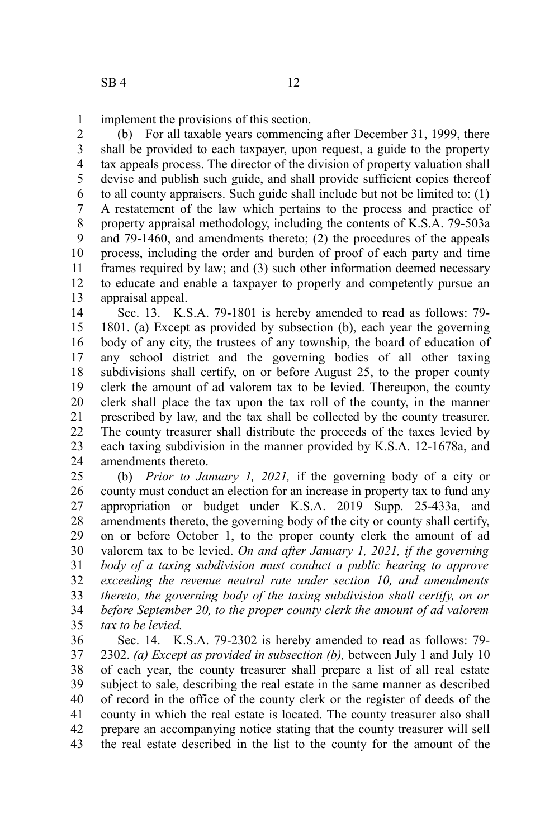implement the provisions of this section. 1

(b) For all taxable years commencing after December 31, 1999, there shall be provided to each taxpayer, upon request, a guide to the property tax appeals process. The director of the division of property valuation shall devise and publish such guide, and shall provide sufficient copies thereof to all county appraisers. Such guide shall include but not be limited to: (1) A restatement of the law which pertains to the process and practice of property appraisal methodology, including the contents of K.S.A. 79-503a and 79-1460, and amendments thereto; (2) the procedures of the appeals process, including the order and burden of proof of each party and time frames required by law; and (3) such other information deemed necessary to educate and enable a taxpayer to properly and competently pursue an appraisal appeal. 2 3 4 5 6 7 8 9 10 11 12 13

Sec. 13. K.S.A. 79-1801 is hereby amended to read as follows: 79- 1801. (a) Except as provided by subsection (b), each year the governing body of any city, the trustees of any township, the board of education of any school district and the governing bodies of all other taxing subdivisions shall certify, on or before August 25, to the proper county clerk the amount of ad valorem tax to be levied. Thereupon, the county clerk shall place the tax upon the tax roll of the county, in the manner prescribed by law, and the tax shall be collected by the county treasurer. The county treasurer shall distribute the proceeds of the taxes levied by each taxing subdivision in the manner provided by K.S.A. 12-1678a, and amendments thereto. 14 15 16 17 18 19 20 21 22 23 24

(b) *Prior to January 1, 2021,* if the governing body of a city or county must conduct an election for an increase in property tax to fund any appropriation or budget under K.S.A. 2019 Supp. 25-433a, and amendments thereto, the governing body of the city or county shall certify, on or before October 1, to the proper county clerk the amount of ad valorem tax to be levied. *On and after January 1, 2021, if the governing body of a taxing subdivision must conduct a public hearing to approve exceeding the revenue neutral rate under section 10, and amendments thereto, the governing body of the taxing subdivision shall certify, on or before September 20, to the proper county clerk the amount of ad valorem tax to be levied.* 25 26 27 28 29 30 31 32 33 34 35

Sec. 14. K.S.A. 79-2302 is hereby amended to read as follows: 79- 2302. *(a) Except as provided in subsection (b),* between July 1 and July 10 of each year, the county treasurer shall prepare a list of all real estate subject to sale, describing the real estate in the same manner as described of record in the office of the county clerk or the register of deeds of the county in which the real estate is located. The county treasurer also shall prepare an accompanying notice stating that the county treasurer will sell the real estate described in the list to the county for the amount of the 36 37 38 39 40 41 42 43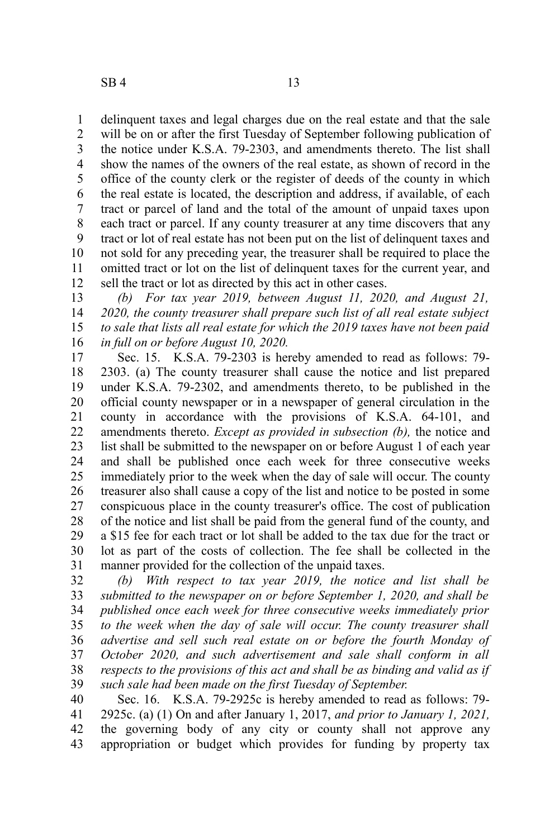delinquent taxes and legal charges due on the real estate and that the sale will be on or after the first Tuesday of September following publication of the notice under K.S.A. 79-2303, and amendments thereto. The list shall show the names of the owners of the real estate, as shown of record in the office of the county clerk or the register of deeds of the county in which the real estate is located, the description and address, if available, of each tract or parcel of land and the total of the amount of unpaid taxes upon each tract or parcel. If any county treasurer at any time discovers that any tract or lot of real estate has not been put on the list of delinquent taxes and not sold for any preceding year, the treasurer shall be required to place the omitted tract or lot on the list of delinquent taxes for the current year, and sell the tract or lot as directed by this act in other cases. 1 2 3 4 5 6 7 8 9 10 11 12

*(b) For tax year 2019, between August 11, 2020, and August 21, 2020, the county treasurer shall prepare such list of all real estate subject to sale that lists all real estate for which the 2019 taxes have not been paid in full on or before August 10, 2020.* 13 14 15 16

Sec. 15. K.S.A. 79-2303 is hereby amended to read as follows: 79- 2303. (a) The county treasurer shall cause the notice and list prepared under K.S.A. 79-2302, and amendments thereto, to be published in the official county newspaper or in a newspaper of general circulation in the county in accordance with the provisions of K.S.A. 64-101, and amendments thereto. *Except as provided in subsection (b),* the notice and list shall be submitted to the newspaper on or before August 1 of each year and shall be published once each week for three consecutive weeks immediately prior to the week when the day of sale will occur. The county treasurer also shall cause a copy of the list and notice to be posted in some conspicuous place in the county treasurer's office. The cost of publication of the notice and list shall be paid from the general fund of the county, and a \$15 fee for each tract or lot shall be added to the tax due for the tract or lot as part of the costs of collection. The fee shall be collected in the manner provided for the collection of the unpaid taxes. 17 18 19 20 21 22 23 24 25 26 27 28 29 30 31

*(b) With respect to tax year 2019, the notice and list shall be submitted to the newspaper on or before September 1, 2020, and shall be published once each week for three consecutive weeks immediately prior to the week when the day of sale will occur. The county treasurer shall advertise and sell such real estate on or before the fourth Monday of October 2020, and such advertisement and sale shall conform in all respects to the provisions of this act and shall be as binding and valid as if such sale had been made on the first Tuesday of September.* 32 33 34 35 36 37 38 39

Sec. 16. K.S.A. 79-2925c is hereby amended to read as follows: 79- 2925c. (a) (1) On and after January 1, 2017, *and prior to January 1, 2021,* the governing body of any city or county shall not approve any appropriation or budget which provides for funding by property tax 40 41 42 43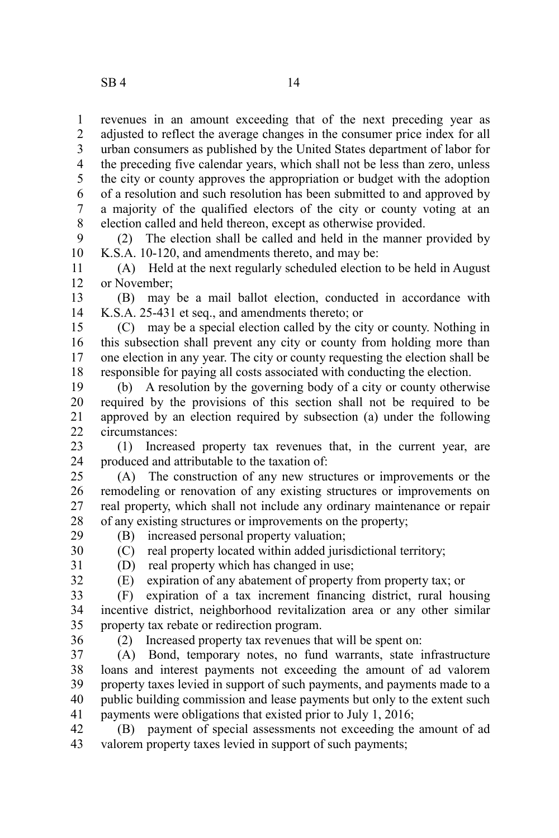revenues in an amount exceeding that of the next preceding year as adjusted to reflect the average changes in the consumer price index for all urban consumers as published by the United States department of labor for the preceding five calendar years, which shall not be less than zero, unless the city or county approves the appropriation or budget with the adoption of a resolution and such resolution has been submitted to and approved by a majority of the qualified electors of the city or county voting at an election called and held thereon, except as otherwise provided. 1 2 3 4 5 6 7 8

(2) The election shall be called and held in the manner provided by K.S.A. 10-120, and amendments thereto, and may be: 9 10

(A) Held at the next regularly scheduled election to be held in August or November; 11 12

(B) may be a mail ballot election, conducted in accordance with K.S.A. 25-431 et seq., and amendments thereto; or 13 14

(C) may be a special election called by the city or county. Nothing in this subsection shall prevent any city or county from holding more than one election in any year. The city or county requesting the election shall be responsible for paying all costs associated with conducting the election. 15 16 17 18

(b) A resolution by the governing body of a city or county otherwise required by the provisions of this section shall not be required to be approved by an election required by subsection (a) under the following circumstances: 19 20 21  $22$ 

(1) Increased property tax revenues that, in the current year, are produced and attributable to the taxation of: 23 24

(A) The construction of any new structures or improvements or the remodeling or renovation of any existing structures or improvements on real property, which shall not include any ordinary maintenance or repair of any existing structures or improvements on the property; 25 26 27 28

29

(B) increased personal property valuation; (C) real property located within added jurisdictional territory; 30

31 32

(D) real property which has changed in use; (E) expiration of any abatement of property from property tax; or

(F) expiration of a tax increment financing district, rural housing incentive district, neighborhood revitalization area or any other similar property tax rebate or redirection program. 33 34 35

36

(2) Increased property tax revenues that will be spent on:

(A) Bond, temporary notes, no fund warrants, state infrastructure loans and interest payments not exceeding the amount of ad valorem property taxes levied in support of such payments, and payments made to a public building commission and lease payments but only to the extent such payments were obligations that existed prior to July 1, 2016; 37 38 39 40 41

(B) payment of special assessments not exceeding the amount of ad valorem property taxes levied in support of such payments; 42 43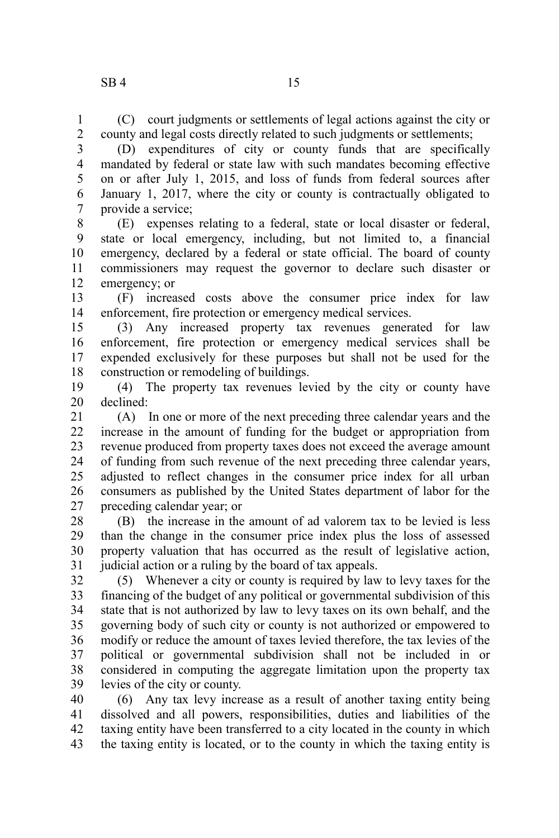(C) court judgments or settlements of legal actions against the city or county and legal costs directly related to such judgments or settlements; 1 2

(D) expenditures of city or county funds that are specifically mandated by federal or state law with such mandates becoming effective on or after July 1, 2015, and loss of funds from federal sources after January 1, 2017, where the city or county is contractually obligated to provide a service; 3 4 5 6 7

(E) expenses relating to a federal, state or local disaster or federal, state or local emergency, including, but not limited to, a financial emergency, declared by a federal or state official. The board of county commissioners may request the governor to declare such disaster or emergency; or 8 9 10 11 12

(F) increased costs above the consumer price index for law enforcement, fire protection or emergency medical services. 13 14

(3) Any increased property tax revenues generated for law enforcement, fire protection or emergency medical services shall be expended exclusively for these purposes but shall not be used for the construction or remodeling of buildings. 15 16 17 18

(4) The property tax revenues levied by the city or county have declined: 19 20

(A) In one or more of the next preceding three calendar years and the increase in the amount of funding for the budget or appropriation from revenue produced from property taxes does not exceed the average amount of funding from such revenue of the next preceding three calendar years, adjusted to reflect changes in the consumer price index for all urban consumers as published by the United States department of labor for the preceding calendar year; or 21 22 23 24 25 26 27

(B) the increase in the amount of ad valorem tax to be levied is less than the change in the consumer price index plus the loss of assessed property valuation that has occurred as the result of legislative action, judicial action or a ruling by the board of tax appeals. 28 29 30 31

(5) Whenever a city or county is required by law to levy taxes for the financing of the budget of any political or governmental subdivision of this state that is not authorized by law to levy taxes on its own behalf, and the governing body of such city or county is not authorized or empowered to modify or reduce the amount of taxes levied therefore, the tax levies of the political or governmental subdivision shall not be included in or considered in computing the aggregate limitation upon the property tax levies of the city or county. 32 33 34 35 36 37 38 39

(6) Any tax levy increase as a result of another taxing entity being dissolved and all powers, responsibilities, duties and liabilities of the taxing entity have been transferred to a city located in the county in which the taxing entity is located, or to the county in which the taxing entity is 40 41 42 43